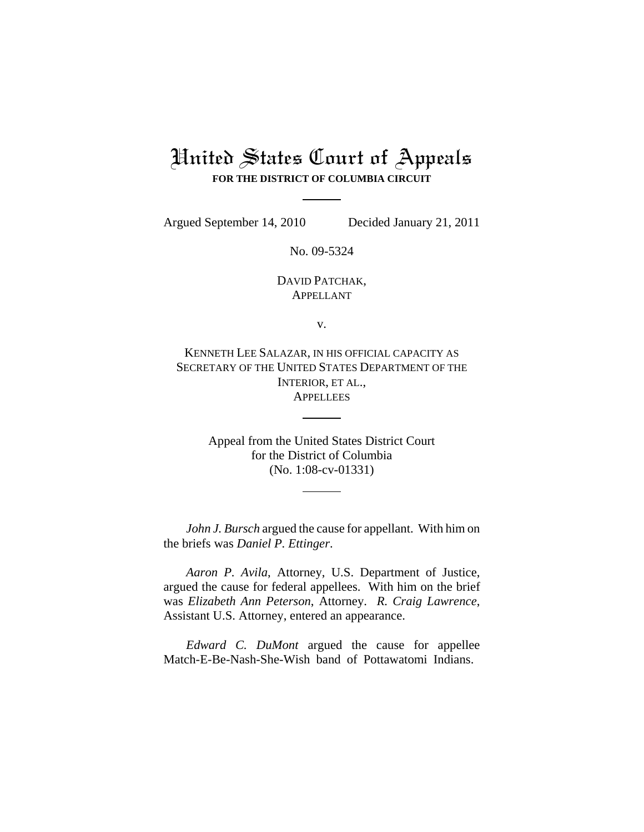## United States Court of Appeals **FOR THE DISTRICT OF COLUMBIA CIRCUIT**

Argued September 14, 2010 Decided January 21, 2011

No. 09-5324

DAVID PATCHAK, APPELLANT

v.

KENNETH LEE SALAZAR, IN HIS OFFICIAL CAPACITY AS SECRETARY OF THE UNITED STATES DEPARTMENT OF THE INTERIOR, ET AL., **APPELLEES** 

> Appeal from the United States District Court for the District of Columbia (No. 1:08-cv-01331)

*John J. Bursch* argued the cause for appellant. With him on the briefs was *Daniel P. Ettinger*.

*Aaron P. Avila*, Attorney, U.S. Department of Justice, argued the cause for federal appellees. With him on the brief was *Elizabeth Ann Peterson*, Attorney. *R. Craig Lawrence*, Assistant U.S. Attorney, entered an appearance.

*Edward C. DuMont* argued the cause for appellee Match-E-Be-Nash-She-Wish band of Pottawatomi Indians.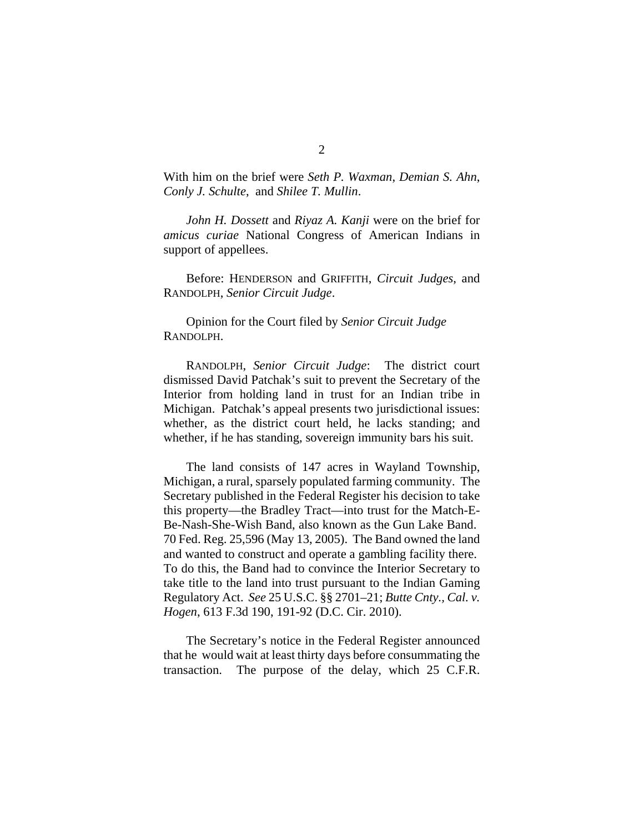With him on the brief were *Seth P. Waxman*, *Demian S. Ahn*, *Conly J. Schulte*, and *Shilee T. Mullin*.

*John H. Dossett* and *Riyaz A. Kanji* were on the brief for *amicus curiae* National Congress of American Indians in support of appellees.

Before: HENDERSON and GRIFFITH, *Circuit Judges*, and RANDOLPH, *Senior Circuit Judge*.

Opinion for the Court filed by *Senior Circuit Judge* RANDOLPH.

RANDOLPH, *Senior Circuit Judge*: The district court dismissed David Patchak's suit to prevent the Secretary of the Interior from holding land in trust for an Indian tribe in Michigan. Patchak's appeal presents two jurisdictional issues: whether, as the district court held, he lacks standing; and whether, if he has standing, sovereign immunity bars his suit.

The land consists of 147 acres in Wayland Township, Michigan, a rural, sparsely populated farming community. The Secretary published in the Federal Register his decision to take this property—the Bradley Tract—into trust for the Match-E-Be-Nash-She-Wish Band, also known as the Gun Lake Band. 70 Fed. Reg. 25,596 (May 13, 2005). The Band owned the land and wanted to construct and operate a gambling facility there. To do this, the Band had to convince the Interior Secretary to take title to the land into trust pursuant to the Indian Gaming Regulatory Act. *See* 25 U.S.C. §§ 2701–21; *Butte Cnty., Cal. v. Hogen*, 613 F.3d 190, 191-92 (D.C. Cir. 2010).

The Secretary's notice in the Federal Register announced that he would wait at least thirty days before consummating the transaction. The purpose of the delay, which 25 C.F.R.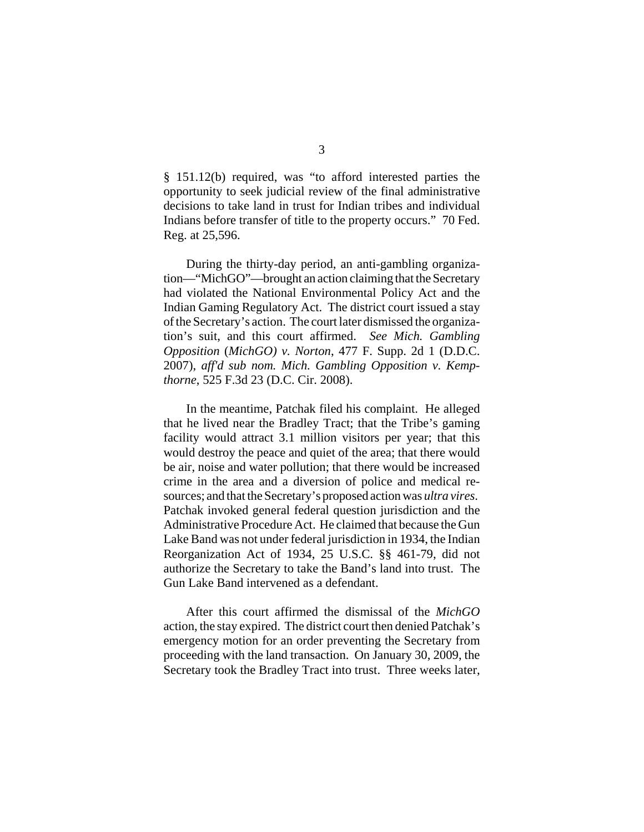§ 151.12(b) required, was "to afford interested parties the opportunity to seek judicial review of the final administrative decisions to take land in trust for Indian tribes and individual Indians before transfer of title to the property occurs." 70 Fed. Reg. at 25,596.

During the thirty-day period, an anti-gambling organization—"MichGO"—brought an action claiming that the Secretary had violated the National Environmental Policy Act and the Indian Gaming Regulatory Act. The district court issued a stay of the Secretary's action. The court later dismissed the organization's suit, and this court affirmed. *See Mich. Gambling Opposition* (*MichGO) v. Norton*, 477 F. Supp. 2d 1 (D.D.C. 2007), *aff'd sub nom. Mich. Gambling Opposition v. Kempthorne*, 525 F.3d 23 (D.C. Cir. 2008).

In the meantime, Patchak filed his complaint. He alleged that he lived near the Bradley Tract; that the Tribe's gaming facility would attract 3.1 million visitors per year; that this would destroy the peace and quiet of the area; that there would be air, noise and water pollution; that there would be increased crime in the area and a diversion of police and medical resources; and that the Secretary's proposed action was *ultra vires*. Patchak invoked general federal question jurisdiction and the Administrative Procedure Act. He claimed that because the Gun Lake Band was not under federal jurisdiction in 1934, the Indian Reorganization Act of 1934, 25 U.S.C. §§ 461-79, did not authorize the Secretary to take the Band's land into trust. The Gun Lake Band intervened as a defendant.

After this court affirmed the dismissal of the *MichGO* action, the stay expired. The district court then denied Patchak's emergency motion for an order preventing the Secretary from proceeding with the land transaction. On January 30, 2009, the Secretary took the Bradley Tract into trust. Three weeks later,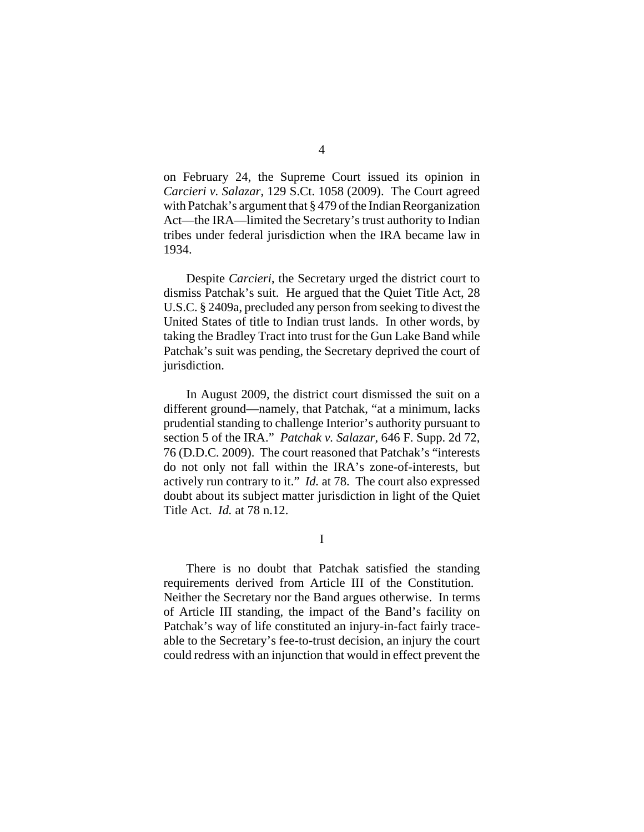on February 24, the Supreme Court issued its opinion in *Carcieri v. Salazar*, 129 S.Ct. 1058 (2009). The Court agreed with Patchak's argument that § 479 of the Indian Reorganization Act—the IRA—limited the Secretary's trust authority to Indian tribes under federal jurisdiction when the IRA became law in 1934.

Despite *Carcieri*, the Secretary urged the district court to dismiss Patchak's suit. He argued that the Quiet Title Act, 28 U.S.C. § 2409a, precluded any person from seeking to divest the United States of title to Indian trust lands. In other words, by taking the Bradley Tract into trust for the Gun Lake Band while Patchak's suit was pending, the Secretary deprived the court of jurisdiction.

In August 2009, the district court dismissed the suit on a different ground—namely, that Patchak, "at a minimum, lacks prudential standing to challenge Interior's authority pursuant to section 5 of the IRA." *Patchak v. Salazar*, 646 F. Supp. 2d 72, 76 (D.D.C. 2009). The court reasoned that Patchak's "interests do not only not fall within the IRA's zone-of-interests, but actively run contrary to it." *Id.* at 78. The court also expressed doubt about its subject matter jurisdiction in light of the Quiet Title Act. *Id.* at 78 n.12.

I

There is no doubt that Patchak satisfied the standing requirements derived from Article III of the Constitution. Neither the Secretary nor the Band argues otherwise. In terms of Article III standing, the impact of the Band's facility on Patchak's way of life constituted an injury-in-fact fairly traceable to the Secretary's fee-to-trust decision, an injury the court could redress with an injunction that would in effect prevent the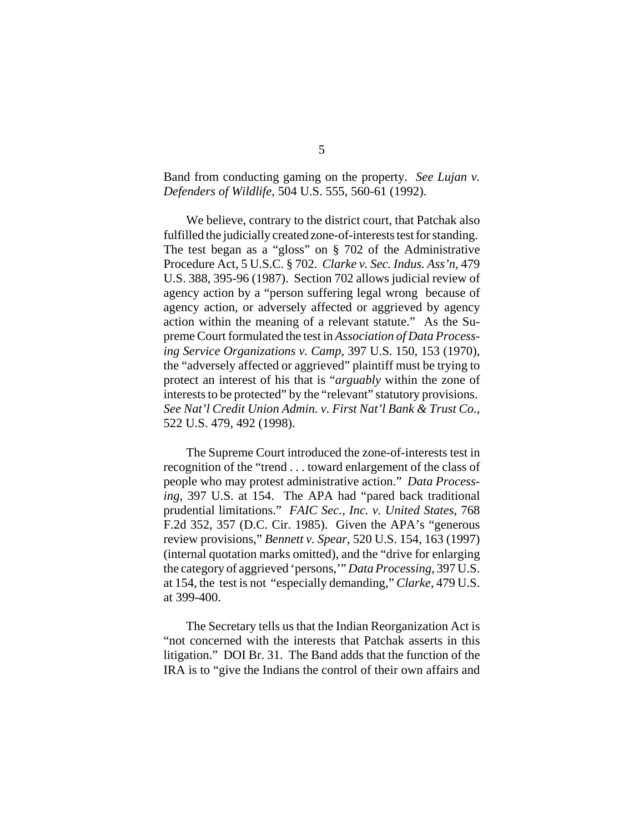Band from conducting gaming on the property. *See Lujan v. Defenders of Wildlife*, 504 U.S. 555, 560-61 (1992).

We believe, contrary to the district court, that Patchak also fulfilled the judicially created zone-of-interests test for standing. The test began as a "gloss" on § 702 of the Administrative Procedure Act, 5 U.S.C. § 702. *Clarke v. Sec. Indus. Ass'n*, 479 U.S. 388, 395-96 (1987). Section 702 allows judicial review of agency action by a "person suffering legal wrong because of agency action, or adversely affected or aggrieved by agency action within the meaning of a relevant statute." As the Supreme Court formulated the test in *Association of Data Processing Service Organizations v. Camp*, 397 U.S. 150, 153 (1970), the "adversely affected or aggrieved" plaintiff must be trying to protect an interest of his that is "*arguably* within the zone of interests to be protected" by the "relevant" statutory provisions. *See Nat'l Credit Union Admin. v. First Nat'l Bank & Trust Co.*, 522 U.S. 479, 492 (1998).

The Supreme Court introduced the zone-of-interests test in recognition of the "trend . . . toward enlargement of the class of people who may protest administrative action." *Data Processing*, 397 U.S. at 154. The APA had "pared back traditional prudential limitations." *FAIC Sec., Inc. v. United States*, 768 F.2d 352, 357 (D.C. Cir. 1985). Given the APA's "generous review provisions," *Bennett v. Spear*, 520 U.S. 154, 163 (1997) (internal quotation marks omitted), and the "drive for enlarging the category of aggrieved 'persons,'" *Data Processing*, 397 U.S. at 154, the test is not "especially demanding," *Clarke*, 479 U.S. at 399-400.

The Secretary tells us that the Indian Reorganization Act is "not concerned with the interests that Patchak asserts in this litigation." DOI Br. 31. The Band adds that the function of the IRA is to "give the Indians the control of their own affairs and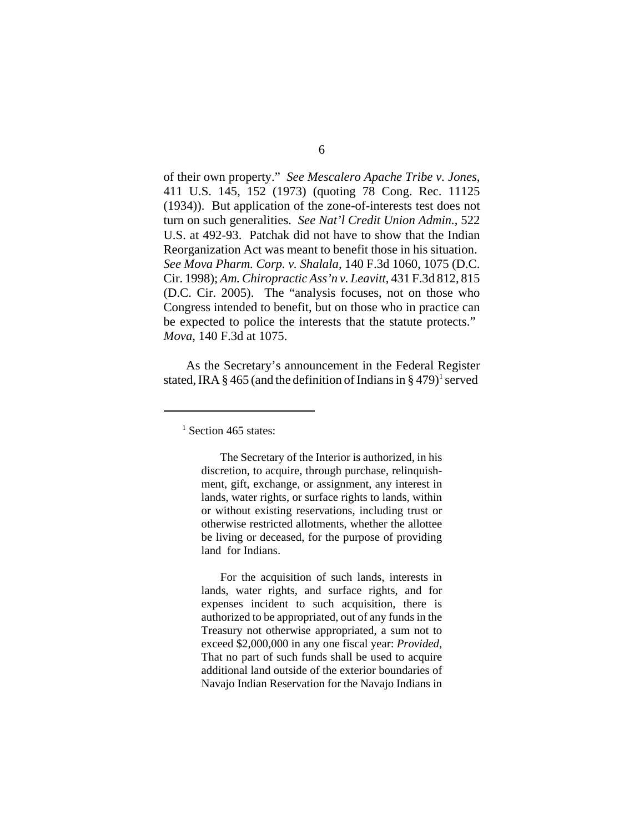of their own property." *See Mescalero Apache Tribe v. Jones*, 411 U.S. 145, 152 (1973) (quoting 78 Cong. Rec. 11125 (1934)). But application of the zone-of-interests test does not turn on such generalities. *See Nat'l Credit Union Admin.*, 522 U.S. at 492-93. Patchak did not have to show that the Indian Reorganization Act was meant to benefit those in his situation. *See Mova Pharm. Corp. v. Shalala*, 140 F.3d 1060, 1075 (D.C. Cir. 1998); *Am. Chiropractic Ass'n v. Leavitt*, 431 F.3d 812, 815 (D.C. Cir. 2005). The "analysis focuses, not on those who Congress intended to benefit, but on those who in practice can be expected to police the interests that the statute protects." *Mova*, 140 F.3d at 1075.

As the Secretary's announcement in the Federal Register stated, IRA  $\S 465$  (and the definition of Indians in  $\S 479$ )<sup>1</sup> served

<sup>1</sup> Section 465 states:

The Secretary of the Interior is authorized, in his discretion, to acquire, through purchase, relinquishment, gift, exchange, or assignment, any interest in lands, water rights, or surface rights to lands, within or without existing reservations, including trust or otherwise restricted allotments, whether the allottee be living or deceased, for the purpose of providing land for Indians.

For the acquisition of such lands, interests in lands, water rights, and surface rights, and for expenses incident to such acquisition, there is authorized to be appropriated, out of any funds in the Treasury not otherwise appropriated, a sum not to exceed \$2,000,000 in any one fiscal year: *Provided*, That no part of such funds shall be used to acquire additional land outside of the exterior boundaries of Navajo Indian Reservation for the Navajo Indians in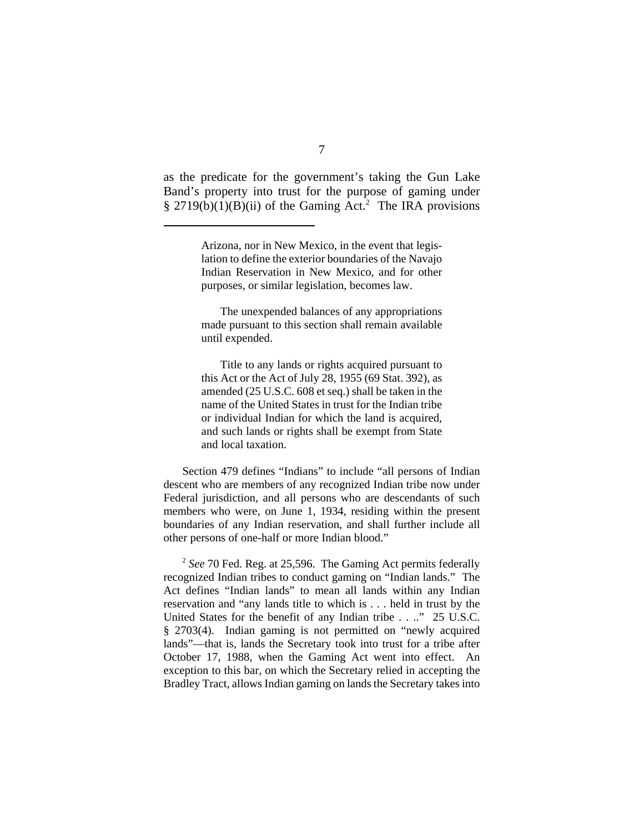as the predicate for the government's taking the Gun Lake Band's property into trust for the purpose of gaming under  $§$  2719(b)(1)(B)(ii) of the Gaming Act.<sup>2</sup> The IRA provisions

The unexpended balances of any appropriations made pursuant to this section shall remain available until expended.

Title to any lands or rights acquired pursuant to this Act or the Act of July 28, 1955 (69 Stat. 392), as amended (25 U.S.C. 608 et seq.) shall be taken in the name of the United States in trust for the Indian tribe or individual Indian for which the land is acquired, and such lands or rights shall be exempt from State and local taxation.

Section 479 defines "Indians" to include "all persons of Indian descent who are members of any recognized Indian tribe now under Federal jurisdiction, and all persons who are descendants of such members who were, on June 1, 1934, residing within the present boundaries of any Indian reservation, and shall further include all other persons of one-half or more Indian blood."

<sup>2</sup> *See* 70 Fed. Reg. at 25,596. The Gaming Act permits federally recognized Indian tribes to conduct gaming on "Indian lands." The Act defines "Indian lands" to mean all lands within any Indian reservation and "any lands title to which is . . . held in trust by the United States for the benefit of any Indian tribe . . .." 25 U.S.C. § 2703(4). Indian gaming is not permitted on "newly acquired lands"—that is, lands the Secretary took into trust for a tribe after October 17, 1988, when the Gaming Act went into effect. An exception to this bar, on which the Secretary relied in accepting the Bradley Tract, allows Indian gaming on lands the Secretary takes into

Arizona, nor in New Mexico, in the event that legislation to define the exterior boundaries of the Navajo Indian Reservation in New Mexico, and for other purposes, or similar legislation, becomes law.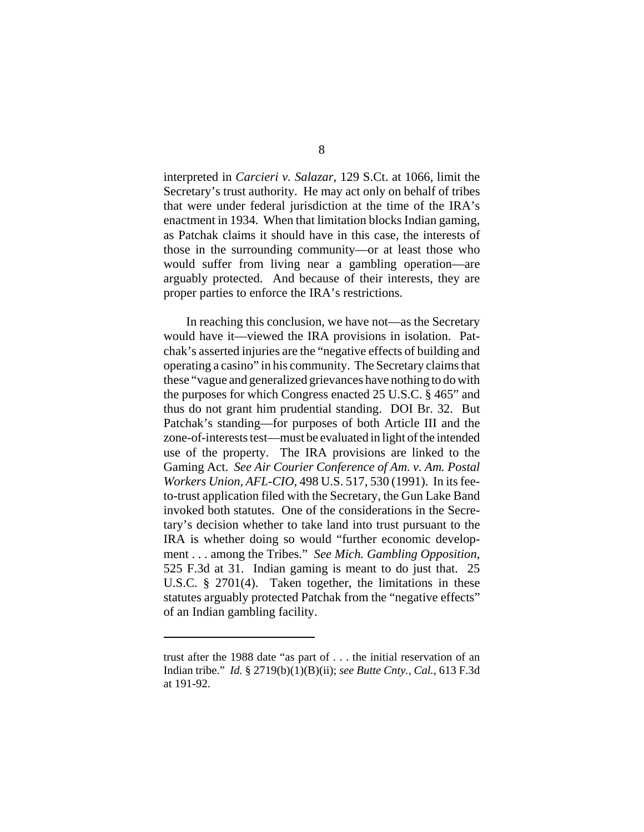interpreted in *Carcieri v. Salazar*, 129 S.Ct. at 1066, limit the Secretary's trust authority. He may act only on behalf of tribes that were under federal jurisdiction at the time of the IRA's enactment in 1934. When that limitation blocks Indian gaming, as Patchak claims it should have in this case, the interests of those in the surrounding community—or at least those who would suffer from living near a gambling operation—are arguably protected. And because of their interests, they are proper parties to enforce the IRA's restrictions.

In reaching this conclusion, we have not—as the Secretary would have it—viewed the IRA provisions in isolation. Patchak's asserted injuries are the "negative effects of building and operating a casino" in his community. The Secretary claims that these "vague and generalized grievances have nothing to do with the purposes for which Congress enacted 25 U.S.C. § 465" and thus do not grant him prudential standing. DOI Br. 32. But Patchak's standing—for purposes of both Article III and the zone-of-interests test—must be evaluated in light of the intended use of the property. The IRA provisions are linked to the Gaming Act. *See Air Courier Conference of Am. v. Am. Postal Workers Union, AFL-CIO*, 498 U.S. 517, 530 (1991). In its feeto-trust application filed with the Secretary, the Gun Lake Band invoked both statutes. One of the considerations in the Secretary's decision whether to take land into trust pursuant to the IRA is whether doing so would "further economic development . . . among the Tribes." *See Mich. Gambling Opposition*, 525 F.3d at 31. Indian gaming is meant to do just that. 25 U.S.C. § 2701(4). Taken together, the limitations in these statutes arguably protected Patchak from the "negative effects" of an Indian gambling facility.

trust after the 1988 date "as part of . . . the initial reservation of an Indian tribe." *Id.* § 2719(b)(1)(B)(ii); *see Butte Cnty., Cal.*, 613 F.3d at 191-92.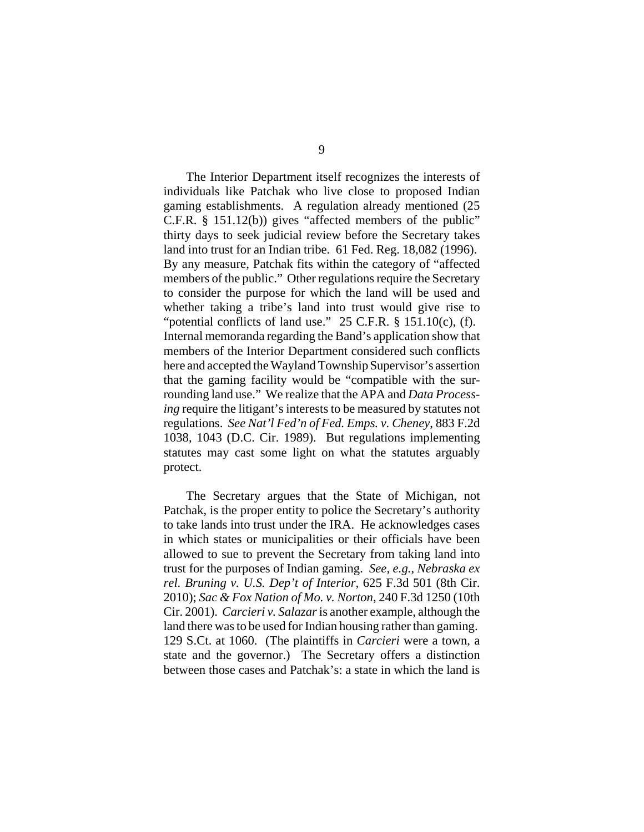The Interior Department itself recognizes the interests of individuals like Patchak who live close to proposed Indian gaming establishments. A regulation already mentioned (25 C.F.R. § 151.12(b)) gives "affected members of the public" thirty days to seek judicial review before the Secretary takes land into trust for an Indian tribe. 61 Fed. Reg. 18,082 (1996). By any measure, Patchak fits within the category of "affected members of the public." Other regulations require the Secretary to consider the purpose for which the land will be used and whether taking a tribe's land into trust would give rise to "potential conflicts of land use."  $25$  C.F.R.  $\S$  151.10(c), (f). Internal memoranda regarding the Band's application show that members of the Interior Department considered such conflicts here and accepted the Wayland Township Supervisor's assertion that the gaming facility would be "compatible with the surrounding land use." We realize that the APA and *Data Processing* require the litigant's interests to be measured by statutes not regulations. *See Nat'l Fed'n of Fed. Emps. v. Cheney*, 883 F.2d 1038, 1043 (D.C. Cir. 1989). But regulations implementing statutes may cast some light on what the statutes arguably protect.

The Secretary argues that the State of Michigan, not Patchak, is the proper entity to police the Secretary's authority to take lands into trust under the IRA. He acknowledges cases in which states or municipalities or their officials have been allowed to sue to prevent the Secretary from taking land into trust for the purposes of Indian gaming. *See, e.g.*, *Nebraska ex rel. Bruning v. U.S. Dep't of Interior*, 625 F.3d 501 (8th Cir. 2010); *Sac & Fox Nation of Mo. v. Norton*, 240 F.3d 1250 (10th Cir. 2001). *Carcieri v. Salazar* is another example, although the land there was to be used for Indian housing rather than gaming. 129 S.Ct. at 1060. (The plaintiffs in *Carcieri* were a town, a state and the governor.) The Secretary offers a distinction between those cases and Patchak's: a state in which the land is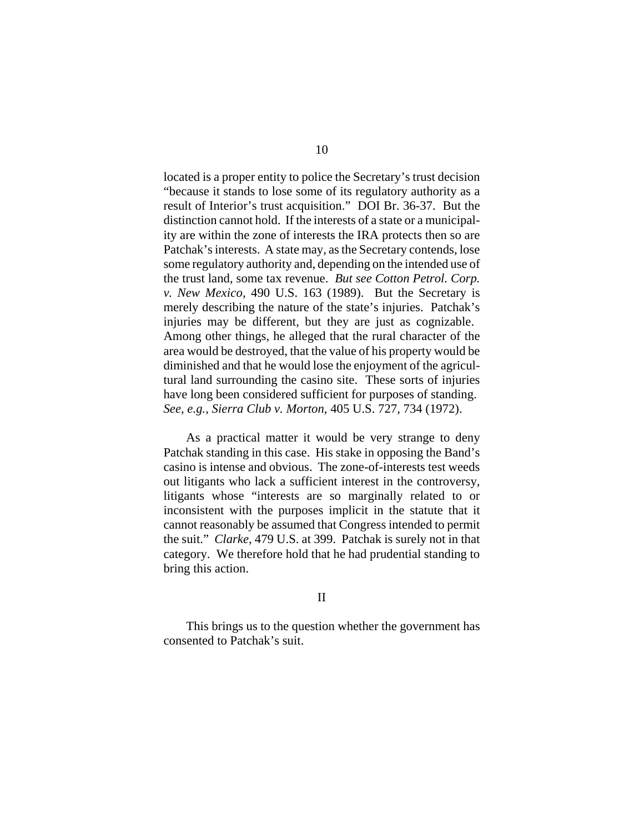located is a proper entity to police the Secretary's trust decision "because it stands to lose some of its regulatory authority as a result of Interior's trust acquisition." DOI Br. 36-37. But the distinction cannot hold. If the interests of a state or a municipality are within the zone of interests the IRA protects then so are Patchak's interests. A state may, as the Secretary contends, lose some regulatory authority and, depending on the intended use of the trust land, some tax revenue. *But see Cotton Petrol. Corp. v. New Mexico*, 490 U.S. 163 (1989). But the Secretary is merely describing the nature of the state's injuries. Patchak's injuries may be different, but they are just as cognizable. Among other things, he alleged that the rural character of the area would be destroyed, that the value of his property would be diminished and that he would lose the enjoyment of the agricultural land surrounding the casino site. These sorts of injuries have long been considered sufficient for purposes of standing. *See, e.g.*, *Sierra Club v. Morton*, 405 U.S. 727, 734 (1972).

As a practical matter it would be very strange to deny Patchak standing in this case. His stake in opposing the Band's casino is intense and obvious. The zone-of-interests test weeds out litigants who lack a sufficient interest in the controversy, litigants whose "interests are so marginally related to or inconsistent with the purposes implicit in the statute that it cannot reasonably be assumed that Congress intended to permit the suit." *Clarke*, 479 U.S. at 399. Patchak is surely not in that category. We therefore hold that he had prudential standing to bring this action.

## II

This brings us to the question whether the government has consented to Patchak's suit.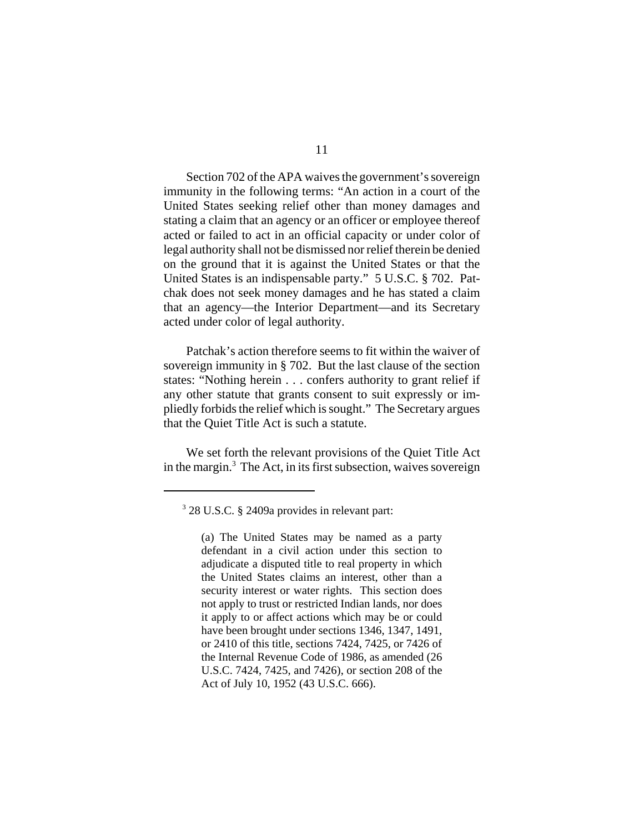Section 702 of the APA waives the government's sovereign immunity in the following terms: "An action in a court of the United States seeking relief other than money damages and stating a claim that an agency or an officer or employee thereof acted or failed to act in an official capacity or under color of legal authority shall not be dismissed nor relief therein be denied on the ground that it is against the United States or that the United States is an indispensable party." 5 U.S.C. § 702. Patchak does not seek money damages and he has stated a claim that an agency—the Interior Department—and its Secretary acted under color of legal authority.

Patchak's action therefore seems to fit within the waiver of sovereign immunity in § 702. But the last clause of the section states: "Nothing herein . . . confers authority to grant relief if any other statute that grants consent to suit expressly or impliedly forbids the relief which is sought." The Secretary argues that the Quiet Title Act is such a statute.

We set forth the relevant provisions of the Quiet Title Act in the margin.<sup>3</sup> The Act, in its first subsection, waives sovereign

<sup>3</sup> 28 U.S.C. § 2409a provides in relevant part:

<sup>(</sup>a) The United States may be named as a party defendant in a civil action under this section to adjudicate a disputed title to real property in which the United States claims an interest, other than a security interest or water rights. This section does not apply to trust or restricted Indian lands, nor does it apply to or affect actions which may be or could have been brought under sections 1346, 1347, 1491, or 2410 of this title, sections 7424, 7425, or 7426 of the Internal Revenue Code of 1986, as amended (26 U.S.C. 7424, 7425, and 7426), or section 208 of the Act of July 10, 1952 (43 U.S.C. 666).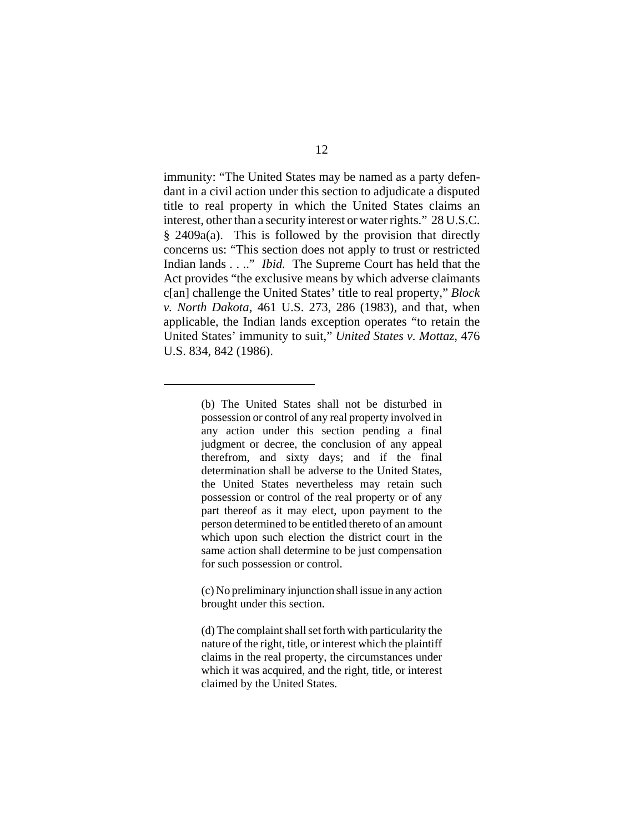immunity: "The United States may be named as a party defendant in a civil action under this section to adjudicate a disputed title to real property in which the United States claims an interest, other than a security interest or water rights." 28 U.S.C. § 2409a(a). This is followed by the provision that directly concerns us: "This section does not apply to trust or restricted Indian lands . . .." *Ibid.* The Supreme Court has held that the Act provides "the exclusive means by which adverse claimants c[an] challenge the United States' title to real property," *Block v. North Dakota*, 461 U.S. 273, 286 (1983), and that, when applicable, the Indian lands exception operates "to retain the United States' immunity to suit," *United States v. Mottaz*, 476 U.S. 834, 842 (1986).

<sup>(</sup>b) The United States shall not be disturbed in possession or control of any real property involved in any action under this section pending a final judgment or decree, the conclusion of any appeal therefrom, and sixty days; and if the final determination shall be adverse to the United States, the United States nevertheless may retain such possession or control of the real property or of any part thereof as it may elect, upon payment to the person determined to be entitled thereto of an amount which upon such election the district court in the same action shall determine to be just compensation for such possession or control.

<sup>(</sup>c) No preliminary injunction shall issue in any action brought under this section.

<sup>(</sup>d) The complaint shall set forth with particularity the nature of the right, title, or interest which the plaintiff claims in the real property, the circumstances under which it was acquired, and the right, title, or interest claimed by the United States.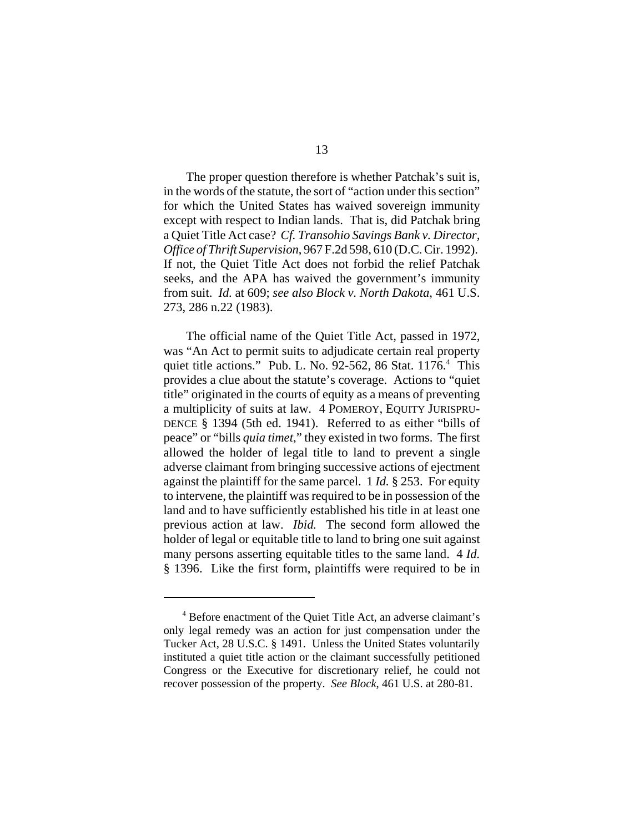The proper question therefore is whether Patchak's suit is, in the words of the statute, the sort of "action under this section" for which the United States has waived sovereign immunity except with respect to Indian lands. That is, did Patchak bring a Quiet Title Act case? *Cf. Transohio Savings Bank v. Director, Office of Thrift Supervision*, 967 F.2d 598, 610 (D.C. Cir. 1992). If not, the Quiet Title Act does not forbid the relief Patchak seeks, and the APA has waived the government's immunity from suit. *Id.* at 609; *see also Block v. North Dakota*, 461 U.S. 273, 286 n.22 (1983).

The official name of the Quiet Title Act, passed in 1972, was "An Act to permit suits to adjudicate certain real property quiet title actions." Pub. L. No. 92-562, 86 Stat. 1176.<sup>4</sup> This provides a clue about the statute's coverage. Actions to "quiet title" originated in the courts of equity as a means of preventing a multiplicity of suits at law. 4 POMEROY, EQUITY JURISPRU-DENCE § 1394 (5th ed. 1941). Referred to as either "bills of peace" or "bills *quia timet*," they existed in two forms. The first allowed the holder of legal title to land to prevent a single adverse claimant from bringing successive actions of ejectment against the plaintiff for the same parcel. 1 *Id.* § 253. For equity to intervene, the plaintiff was required to be in possession of the land and to have sufficiently established his title in at least one previous action at law. *Ibid.* The second form allowed the holder of legal or equitable title to land to bring one suit against many persons asserting equitable titles to the same land. 4 *Id.* § 1396. Like the first form, plaintiffs were required to be in

<sup>4</sup> Before enactment of the Quiet Title Act, an adverse claimant's only legal remedy was an action for just compensation under the Tucker Act, 28 U.S.C. § 1491. Unless the United States voluntarily instituted a quiet title action or the claimant successfully petitioned Congress or the Executive for discretionary relief, he could not recover possession of the property. *See Block*, 461 U.S. at 280-81.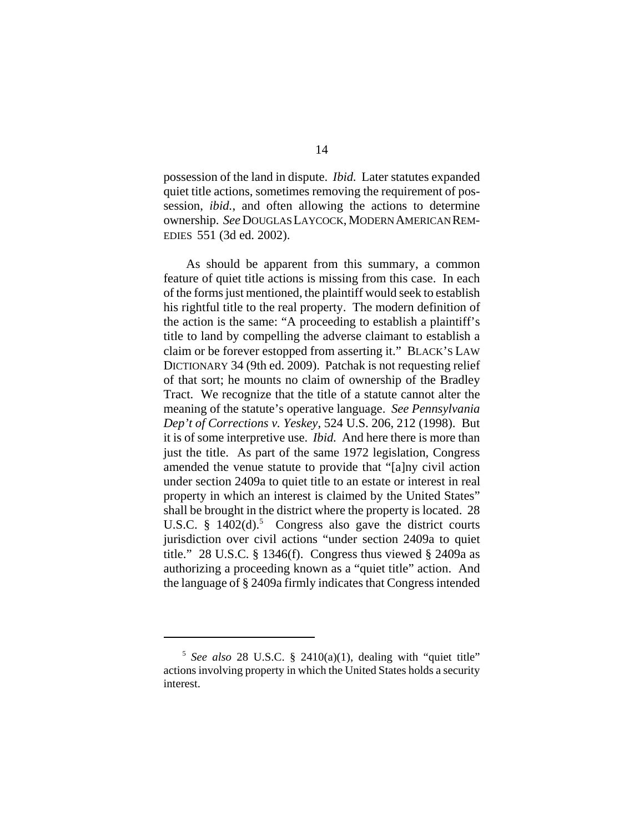possession of the land in dispute. *Ibid.* Later statutes expanded quiet title actions, sometimes removing the requirement of possession, *ibid.*, and often allowing the actions to determine ownership. *See* DOUGLAS LAYCOCK, MODERN AMERICAN REM-EDIES 551 (3d ed. 2002).

As should be apparent from this summary, a common feature of quiet title actions is missing from this case. In each of the forms just mentioned, the plaintiff would seek to establish his rightful title to the real property. The modern definition of the action is the same: "A proceeding to establish a plaintiff's title to land by compelling the adverse claimant to establish a claim or be forever estopped from asserting it." BLACK'S LAW DICTIONARY 34 (9th ed. 2009). Patchak is not requesting relief of that sort; he mounts no claim of ownership of the Bradley Tract. We recognize that the title of a statute cannot alter the meaning of the statute's operative language. *See Pennsylvania Dep't of Corrections v. Yeskey*, 524 U.S. 206, 212 (1998). But it is of some interpretive use. *Ibid.* And here there is more than just the title. As part of the same 1972 legislation, Congress amended the venue statute to provide that "[a]ny civil action under section 2409a to quiet title to an estate or interest in real property in which an interest is claimed by the United States" shall be brought in the district where the property is located. 28 U.S.C.  $\S$  1402(d).<sup>5</sup> Congress also gave the district courts jurisdiction over civil actions "under section 2409a to quiet title." 28 U.S.C. § 1346(f). Congress thus viewed § 2409a as authorizing a proceeding known as a "quiet title" action. And the language of § 2409a firmly indicates that Congress intended

 $5$  See also 28 U.S.C. § 2410(a)(1), dealing with "quiet title" actions involving property in which the United States holds a security interest.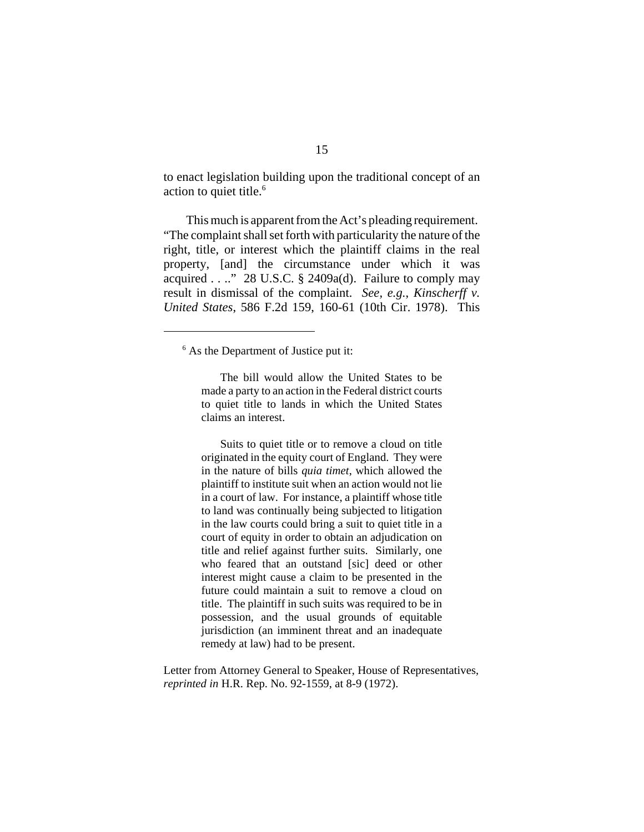to enact legislation building upon the traditional concept of an action to quiet title.<sup>6</sup>

This much is apparent from the Act's pleading requirement. "The complaint shall set forth with particularity the nature of the right, title, or interest which the plaintiff claims in the real property, [and] the circumstance under which it was acquired  $\dots$  28 U.S.C. § 2409a(d). Failure to comply may result in dismissal of the complaint. *See, e.g.*, *Kinscherff v. United States*, 586 F.2d 159, 160-61 (10th Cir. 1978). This

The bill would allow the United States to be made a party to an action in the Federal district courts to quiet title to lands in which the United States claims an interest.

Suits to quiet title or to remove a cloud on title originated in the equity court of England. They were in the nature of bills *quia timet*, which allowed the plaintiff to institute suit when an action would not lie in a court of law. For instance, a plaintiff whose title to land was continually being subjected to litigation in the law courts could bring a suit to quiet title in a court of equity in order to obtain an adjudication on title and relief against further suits. Similarly, one who feared that an outstand [sic] deed or other interest might cause a claim to be presented in the future could maintain a suit to remove a cloud on title. The plaintiff in such suits was required to be in possession, and the usual grounds of equitable jurisdiction (an imminent threat and an inadequate remedy at law) had to be present.

Letter from Attorney General to Speaker, House of Representatives, *reprinted in* H.R. Rep. No. 92-1559, at 8-9 (1972).

<sup>&</sup>lt;sup>6</sup> As the Department of Justice put it: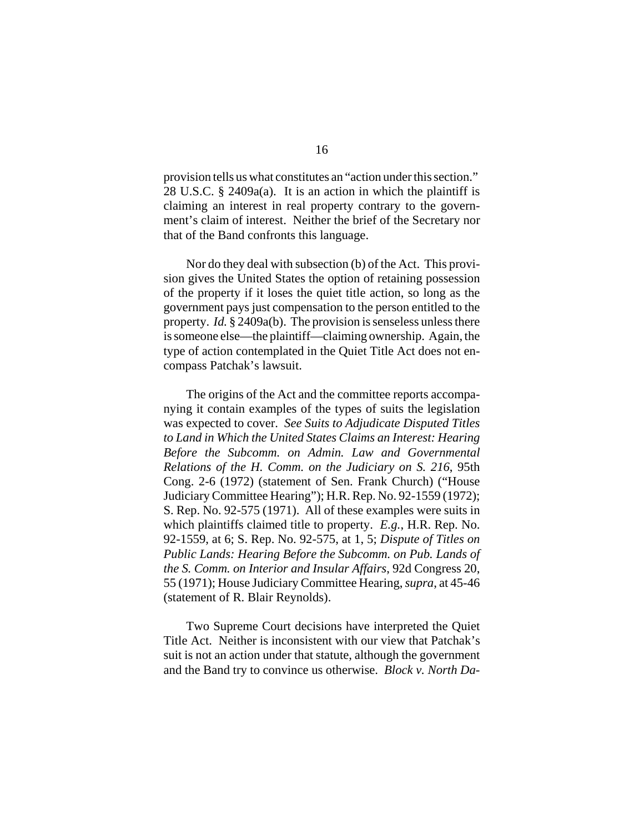provision tells us what constitutes an "action under this section." 28 U.S.C. § 2409a(a). It is an action in which the plaintiff is claiming an interest in real property contrary to the government's claim of interest. Neither the brief of the Secretary nor that of the Band confronts this language.

Nor do they deal with subsection (b) of the Act. This provision gives the United States the option of retaining possession of the property if it loses the quiet title action, so long as the government pays just compensation to the person entitled to the property. *Id.* § 2409a(b). The provision is senseless unless there is someone else—the plaintiff—claiming ownership. Again, the type of action contemplated in the Quiet Title Act does not encompass Patchak's lawsuit.

The origins of the Act and the committee reports accompanying it contain examples of the types of suits the legislation was expected to cover. *See Suits to Adjudicate Disputed Titles to Land in Which the United States Claims an Interest: Hearing Before the Subcomm. on Admin. Law and Governmental Relations of the H. Comm. on the Judiciary on S. 216*, 95th Cong. 2-6 (1972) (statement of Sen. Frank Church) ("House Judiciary Committee Hearing"); H.R. Rep. No. 92-1559 (1972); S. Rep. No. 92-575 (1971). All of these examples were suits in which plaintiffs claimed title to property. *E.g.*, H.R. Rep. No. 92-1559, at 6; S. Rep. No. 92-575, at 1, 5; *Dispute of Titles on Public Lands: Hearing Before the Subcomm. on Pub. Lands of the S. Comm. on Interior and Insular Affairs*, 92d Congress 20, 55 (1971); House Judiciary Committee Hearing, *supra*, at 45-46 (statement of R. Blair Reynolds).

Two Supreme Court decisions have interpreted the Quiet Title Act. Neither is inconsistent with our view that Patchak's suit is not an action under that statute, although the government and the Band try to convince us otherwise. *Block v. North Da-*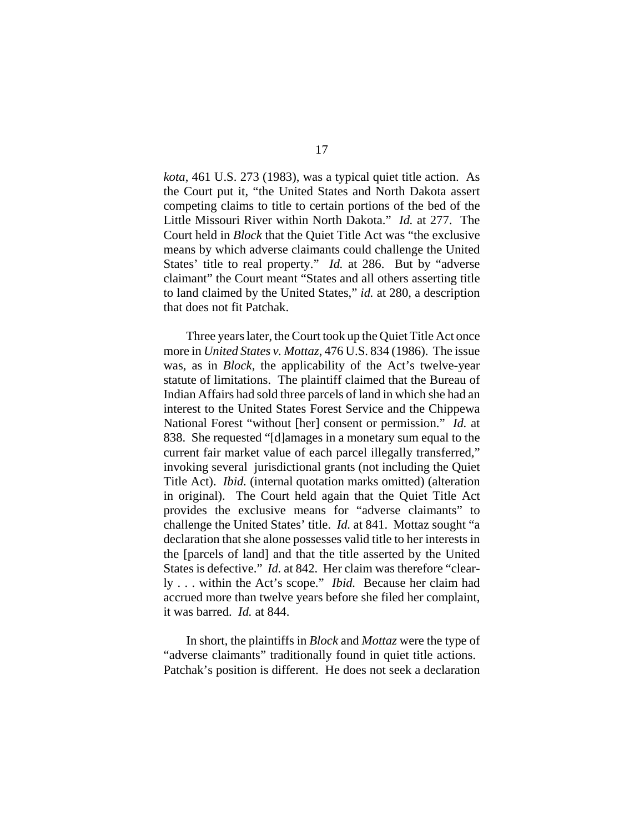*kota*, 461 U.S. 273 (1983), was a typical quiet title action. As the Court put it, "the United States and North Dakota assert competing claims to title to certain portions of the bed of the Little Missouri River within North Dakota." *Id.* at 277. The Court held in *Block* that the Quiet Title Act was "the exclusive means by which adverse claimants could challenge the United States' title to real property." *Id.* at 286. But by "adverse claimant" the Court meant "States and all others asserting title to land claimed by the United States," *id.* at 280, a description that does not fit Patchak.

Three years later, the Court took up the Quiet Title Act once more in *United States v. Mottaz*, 476 U.S. 834 (1986). The issue was, as in *Block,* the applicability of the Act's twelve-year statute of limitations. The plaintiff claimed that the Bureau of Indian Affairs had sold three parcels of land in which she had an interest to the United States Forest Service and the Chippewa National Forest "without [her] consent or permission." *Id.* at 838. She requested "[d]amages in a monetary sum equal to the current fair market value of each parcel illegally transferred," invoking several jurisdictional grants (not including the Quiet Title Act). *Ibid.* (internal quotation marks omitted) (alteration in original). The Court held again that the Quiet Title Act provides the exclusive means for "adverse claimants" to challenge the United States' title. *Id.* at 841. Mottaz sought "a declaration that she alone possesses valid title to her interests in the [parcels of land] and that the title asserted by the United States is defective." *Id.* at 842. Her claim was therefore "clearly . . . within the Act's scope." *Ibid.* Because her claim had accrued more than twelve years before she filed her complaint, it was barred. *Id.* at 844.

In short, the plaintiffs in *Block* and *Mottaz* were the type of "adverse claimants" traditionally found in quiet title actions. Patchak's position is different. He does not seek a declaration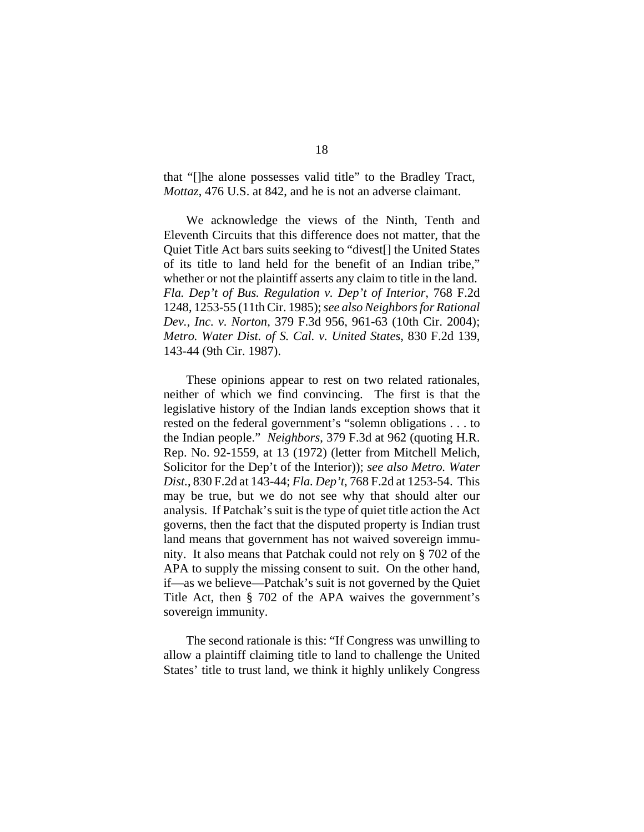that "[]he alone possesses valid title" to the Bradley Tract, *Mottaz*, 476 U.S. at 842, and he is not an adverse claimant.

We acknowledge the views of the Ninth, Tenth and Eleventh Circuits that this difference does not matter, that the Quiet Title Act bars suits seeking to "divest[] the United States of its title to land held for the benefit of an Indian tribe," whether or not the plaintiff asserts any claim to title in the land. *Fla. Dep't of Bus. Regulation v. Dep't of Interior*, 768 F.2d 1248, 1253-55 (11th Cir. 1985); *see also Neighbors for Rational Dev., Inc. v. Norton*, 379 F.3d 956, 961-63 (10th Cir. 2004); *Metro. Water Dist. of S. Cal. v. United States*, 830 F.2d 139, 143-44 (9th Cir. 1987).

These opinions appear to rest on two related rationales, neither of which we find convincing. The first is that the legislative history of the Indian lands exception shows that it rested on the federal government's "solemn obligations . . . to the Indian people." *Neighbors*, 379 F.3d at 962 (quoting H.R. Rep. No. 92-1559, at 13 (1972) (letter from Mitchell Melich, Solicitor for the Dep't of the Interior)); *see also Metro. Water Dist.*, 830 F.2d at 143-44; *Fla. Dep't*, 768 F.2d at 1253-54. This may be true, but we do not see why that should alter our analysis. If Patchak's suit is the type of quiet title action the Act governs, then the fact that the disputed property is Indian trust land means that government has not waived sovereign immunity. It also means that Patchak could not rely on § 702 of the APA to supply the missing consent to suit. On the other hand, if—as we believe—Patchak's suit is not governed by the Quiet Title Act, then § 702 of the APA waives the government's sovereign immunity.

The second rationale is this: "If Congress was unwilling to allow a plaintiff claiming title to land to challenge the United States' title to trust land, we think it highly unlikely Congress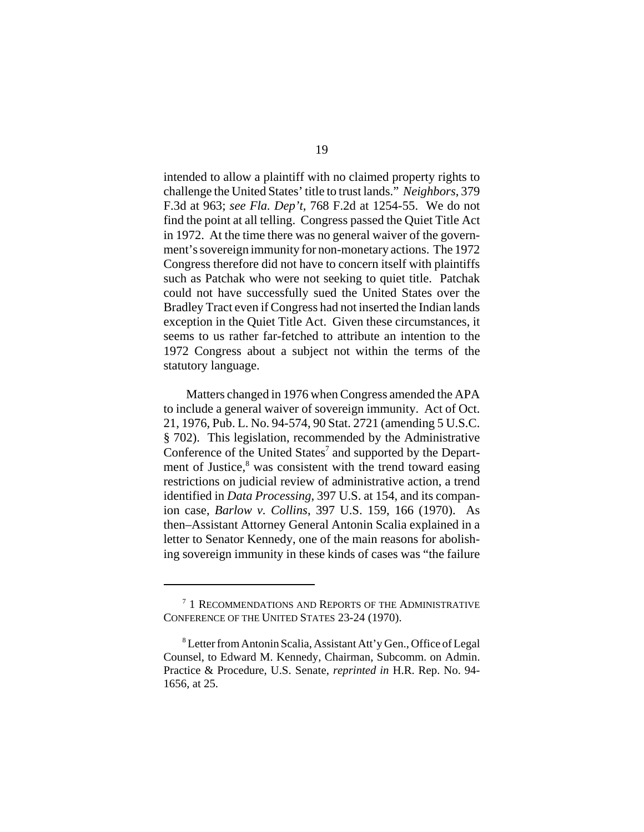intended to allow a plaintiff with no claimed property rights to challenge the United States' title to trust lands." *Neighbors*, 379 F.3d at 963; *see Fla. Dep't*, 768 F.2d at 1254-55.We do not find the point at all telling. Congress passed the Quiet Title Act in 1972. At the time there was no general waiver of the government's sovereign immunity for non-monetary actions. The 1972 Congress therefore did not have to concern itself with plaintiffs such as Patchak who were not seeking to quiet title. Patchak could not have successfully sued the United States over the Bradley Tract even if Congress had not inserted the Indian lands exception in the Quiet Title Act. Given these circumstances, it seems to us rather far-fetched to attribute an intention to the 1972 Congress about a subject not within the terms of the statutory language.

Matters changed in 1976 when Congress amended the APA to include a general waiver of sovereign immunity. Act of Oct. 21, 1976, Pub. L. No. 94-574, 90 Stat. 2721 (amending 5 U.S.C. § 702). This legislation, recommended by the Administrative Conference of the United States<sup>7</sup> and supported by the Department of Justice,<sup>8</sup> was consistent with the trend toward easing restrictions on judicial review of administrative action, a trend identified in *Data Processing*, 397 U.S. at 154, and its companion case, *Barlow v. Collins*, 397 U.S. 159, 166 (1970). As then–Assistant Attorney General Antonin Scalia explained in a letter to Senator Kennedy, one of the main reasons for abolishing sovereign immunity in these kinds of cases was "the failure

<sup>&</sup>lt;sup>7</sup> 1 RECOMMENDATIONS AND REPORTS OF THE ADMINISTRATIVE CONFERENCE OF THE UNITED STATES 23-24 (1970).

<sup>&</sup>lt;sup>8</sup> Letter from Antonin Scalia, Assistant Att'y Gen., Office of Legal Counsel, to Edward M. Kennedy, Chairman, Subcomm. on Admin. Practice & Procedure, U.S. Senate, *reprinted in* H.R. Rep. No. 94- 1656, at 25.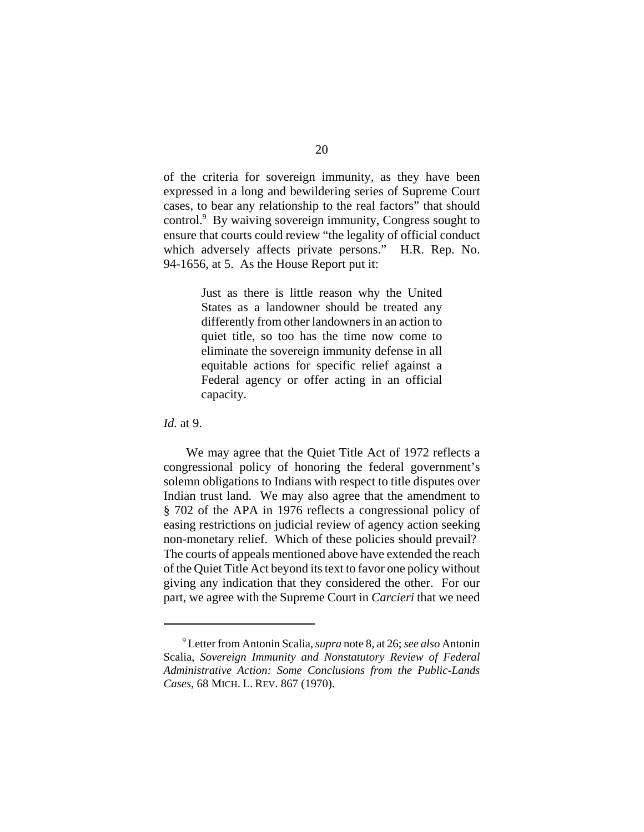of the criteria for sovereign immunity, as they have been expressed in a long and bewildering series of Supreme Court cases, to bear any relationship to the real factors" that should control.<sup>9</sup> By waiving sovereign immunity, Congress sought to ensure that courts could review "the legality of official conduct which adversely affects private persons." H.R. Rep. No. 94-1656, at 5. As the House Report put it:

> Just as there is little reason why the United States as a landowner should be treated any differently from other landowners in an action to quiet title, so too has the time now come to eliminate the sovereign immunity defense in all equitable actions for specific relief against a Federal agency or offer acting in an official capacity.

*Id.* at 9.

We may agree that the Quiet Title Act of 1972 reflects a congressional policy of honoring the federal government's solemn obligations to Indians with respect to title disputes over Indian trust land. We may also agree that the amendment to § 702 of the APA in 1976 reflects a congressional policy of easing restrictions on judicial review of agency action seeking non-monetary relief. Which of these policies should prevail? The courts of appeals mentioned above have extended the reach of the Quiet Title Act beyond its text to favor one policy without giving any indication that they considered the other. For our part, we agree with the Supreme Court in *Carcieri* that we need

<sup>9</sup> Letter from Antonin Scalia, *supra* note 8, at 26; *see also* Antonin Scalia, *Sovereign Immunity and Nonstatutory Review of Federal Administrative Action: Some Conclusions from the Public-Lands Cases*, 68 MICH. L. REV. 867 (1970).